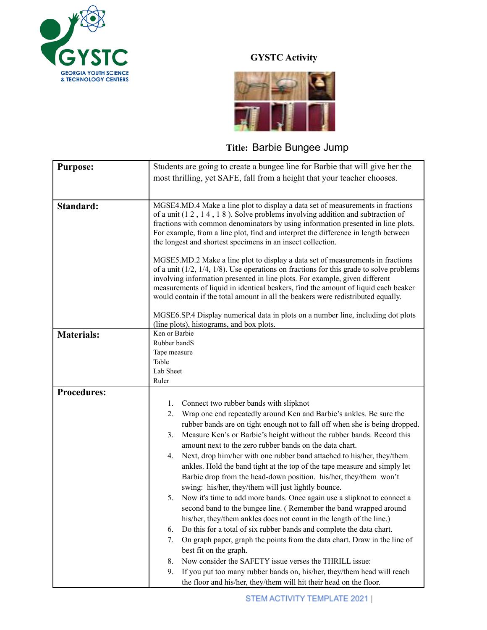

## **GYSTC Activity**



## **Title:** Barbie Bungee Jump

| <b>Purpose:</b>    | Students are going to create a bungee line for Barbie that will give her the                                                                                                                                                                                                                                                                                                                                                                                                                                              |
|--------------------|---------------------------------------------------------------------------------------------------------------------------------------------------------------------------------------------------------------------------------------------------------------------------------------------------------------------------------------------------------------------------------------------------------------------------------------------------------------------------------------------------------------------------|
|                    | most thrilling, yet SAFE, fall from a height that your teacher chooses.                                                                                                                                                                                                                                                                                                                                                                                                                                                   |
|                    |                                                                                                                                                                                                                                                                                                                                                                                                                                                                                                                           |
|                    |                                                                                                                                                                                                                                                                                                                                                                                                                                                                                                                           |
| Standard:          | MGSE4.MD.4 Make a line plot to display a data set of measurements in fractions<br>of a unit $(1\ 2\ 1\ 4\ 1\ 8)$ . Solve problems involving addition and subtraction of<br>fractions with common denominators by using information presented in line plots.<br>For example, from a line plot, find and interpret the difference in length between<br>the longest and shortest specimens in an insect collection.                                                                                                          |
|                    | MGSE5.MD.2 Make a line plot to display a data set of measurements in fractions<br>of a unit $(1/2, 1/4, 1/8)$ . Use operations on fractions for this grade to solve problems<br>involving information presented in line plots. For example, given different<br>measurements of liquid in identical beakers, find the amount of liquid each beaker<br>would contain if the total amount in all the beakers were redistributed equally.<br>MGSE6.SP.4 Display numerical data in plots on a number line, including dot plots |
|                    | (line plots), histograms, and box plots.                                                                                                                                                                                                                                                                                                                                                                                                                                                                                  |
| <b>Materials:</b>  | Ken or Barbie<br>Rubber bandS<br>Tape measure<br>Table<br>Lab Sheet                                                                                                                                                                                                                                                                                                                                                                                                                                                       |
|                    | Ruler                                                                                                                                                                                                                                                                                                                                                                                                                                                                                                                     |
| <b>Procedures:</b> |                                                                                                                                                                                                                                                                                                                                                                                                                                                                                                                           |
|                    | Connect two rubber bands with slipknot<br>1.                                                                                                                                                                                                                                                                                                                                                                                                                                                                              |
|                    | Wrap one end repeatedly around Ken and Barbie's ankles. Be sure the<br>2.                                                                                                                                                                                                                                                                                                                                                                                                                                                 |
|                    | rubber bands are on tight enough not to fall off when she is being dropped.<br>Measure Ken's or Barbie's height without the rubber bands. Record this<br>3.                                                                                                                                                                                                                                                                                                                                                               |
|                    | amount next to the zero rubber bands on the data chart.                                                                                                                                                                                                                                                                                                                                                                                                                                                                   |
|                    | Next, drop him/her with one rubber band attached to his/her, they/them<br>4.<br>ankles. Hold the band tight at the top of the tape measure and simply let<br>Barbie drop from the head-down position. his/her, they/them won't<br>swing: his/her, they/them will just lightly bounce.                                                                                                                                                                                                                                     |
|                    | Now it's time to add more bands. Once again use a slipknot to connect a<br>5.<br>second band to the bungee line. (Remember the band wrapped around<br>his/her, they/them ankles does not count in the length of the line.)                                                                                                                                                                                                                                                                                                |
|                    | Do this for a total of six rubber bands and complete the data chart.<br>6.                                                                                                                                                                                                                                                                                                                                                                                                                                                |
|                    | On graph paper, graph the points from the data chart. Draw in the line of<br>7.<br>best fit on the graph.                                                                                                                                                                                                                                                                                                                                                                                                                 |
|                    | Now consider the SAFETY issue verses the THRILL issue:<br>8.                                                                                                                                                                                                                                                                                                                                                                                                                                                              |
|                    | 9.<br>If you put too many rubber bands on, his/her, they/them head will reach<br>the floor and his/her, they/them will hit their head on the floor.                                                                                                                                                                                                                                                                                                                                                                       |